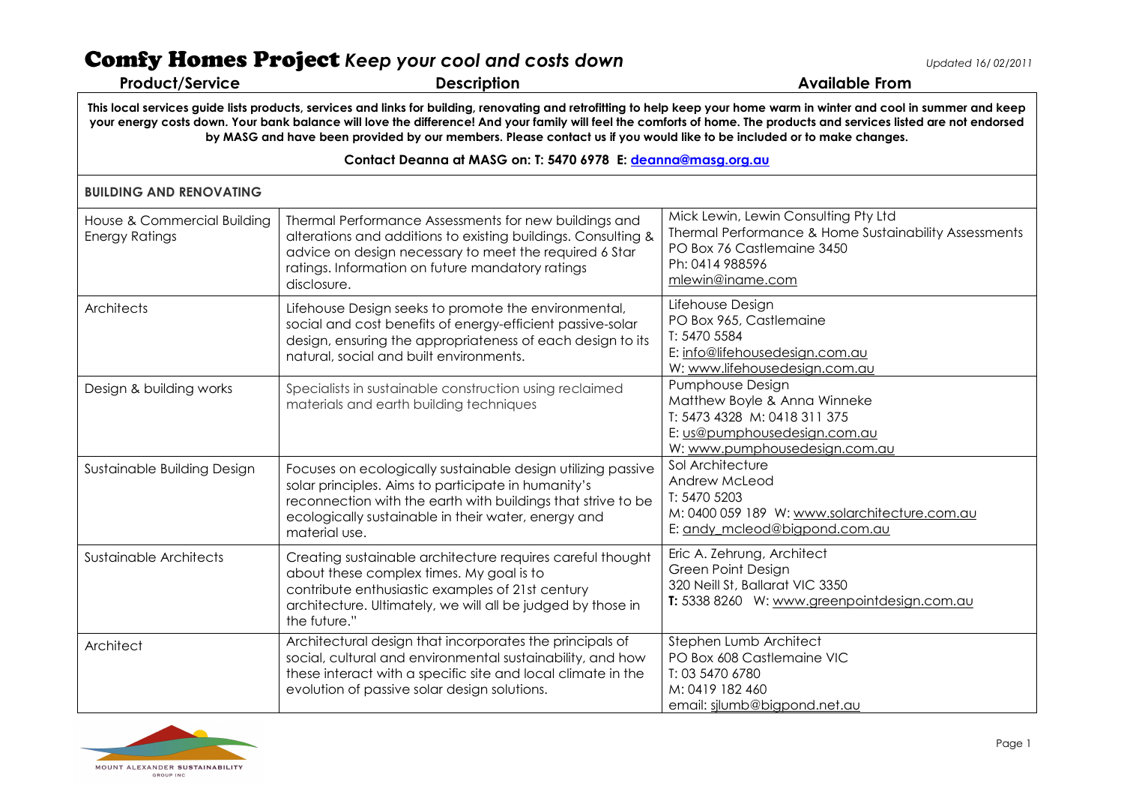| <b>Product/Service</b>                               | <b>Comfy Homes Project</b> Keep your cool and costs down<br><b>Description</b>                                                                                                                                                                                                                                                                                                                                                                                             | Updated 16/02/2011<br><b>Available From</b>                                                                                                                        |
|------------------------------------------------------|----------------------------------------------------------------------------------------------------------------------------------------------------------------------------------------------------------------------------------------------------------------------------------------------------------------------------------------------------------------------------------------------------------------------------------------------------------------------------|--------------------------------------------------------------------------------------------------------------------------------------------------------------------|
|                                                      | This local services guide lists products, services and links for building, renovating and retrofitting to help keep your home warm in winter and cool in summer and keep<br>your energy costs down. Your bank balance will love the difference! And your family will feel the comforts of home. The products and services listed are not endorsed<br>by MASG and have been provided by our members. Please contact us if you would like to be included or to make changes. |                                                                                                                                                                    |
|                                                      | Contact Deanna at MASG on: T: 5470 6978 E: deanna@masg.org.au                                                                                                                                                                                                                                                                                                                                                                                                              |                                                                                                                                                                    |
| <b>BUILDING AND RENOVATING</b>                       |                                                                                                                                                                                                                                                                                                                                                                                                                                                                            |                                                                                                                                                                    |
| House & Commercial Building<br><b>Energy Ratings</b> | Thermal Performance Assessments for new buildings and<br>alterations and additions to existing buildings. Consulting &<br>advice on design necessary to meet the required 6 Star<br>ratings. Information on future mandatory ratings<br>disclosure.                                                                                                                                                                                                                        | Mick Lewin, Lewin Consulting Pty Ltd<br>Thermal Performance & Home Sustainability Assessments<br>PO Box 76 Castlemaine 3450<br>Ph: 0414 988596<br>mlewin@iname.com |
| Architects                                           | Lifehouse Design seeks to promote the environmental,<br>social and cost benefits of energy-efficient passive-solar<br>design, ensuring the appropriateness of each design to its<br>natural, social and built environments.                                                                                                                                                                                                                                                | Lifehouse Design<br>PO Box 965, Castlemaine<br>T: 5470 5584<br>E: info@lifehousedesign.com.au<br>W: www.lifehousedesign.com.au                                     |
| Design & building works                              | Specialists in sustainable construction using reclaimed<br>materials and earth building techniques                                                                                                                                                                                                                                                                                                                                                                         | Pumphouse Design<br>Matthew Boyle & Anna Winneke<br>T: 5473 4328 M: 0418 311 375<br>E: us@pumphousedesign.com.au<br>W: www.pumphousedesign.com.au                  |
| Sustainable Building Design                          | Focuses on ecologically sustainable design utilizing passive<br>solar principles. Aims to participate in humanity's<br>reconnection with the earth with buildings that strive to be<br>ecologically sustainable in their water, energy and<br>material use.                                                                                                                                                                                                                | Sol Architecture<br>Andrew McLeod<br>T: 5470 5203<br>M: 0400 059 189 W: www.solarchitecture.com.au<br>E: andy mcleod@bigpond.com.au                                |
| Sustainable Architects                               | Creating sustainable architecture requires careful thought<br>about these complex times. My goal is to<br>contribute enthusiastic examples of 21st century<br>architecture. Ultimately, we will all be judged by those in<br>the future."                                                                                                                                                                                                                                  | Eric A. Zehrung, Architect<br><b>Green Point Design</b><br>320 Neill St, Ballarat VIC 3350<br>T: 5338 8260 W: www.greenpointdesign.com.au                          |
| Architect                                            | Architectural design that incorporates the principals of<br>social, cultural and environmental sustainability, and how<br>these interact with a specific site and local climate in the<br>evolution of passive solar design solutions.                                                                                                                                                                                                                                     | Stephen Lumb Architect<br>PO Box 608 Castlemaine VIC<br>T: 03 5470 6780<br>M: 0419 182 460                                                                         |



email: <u>silumb@bigpond.net.au</u>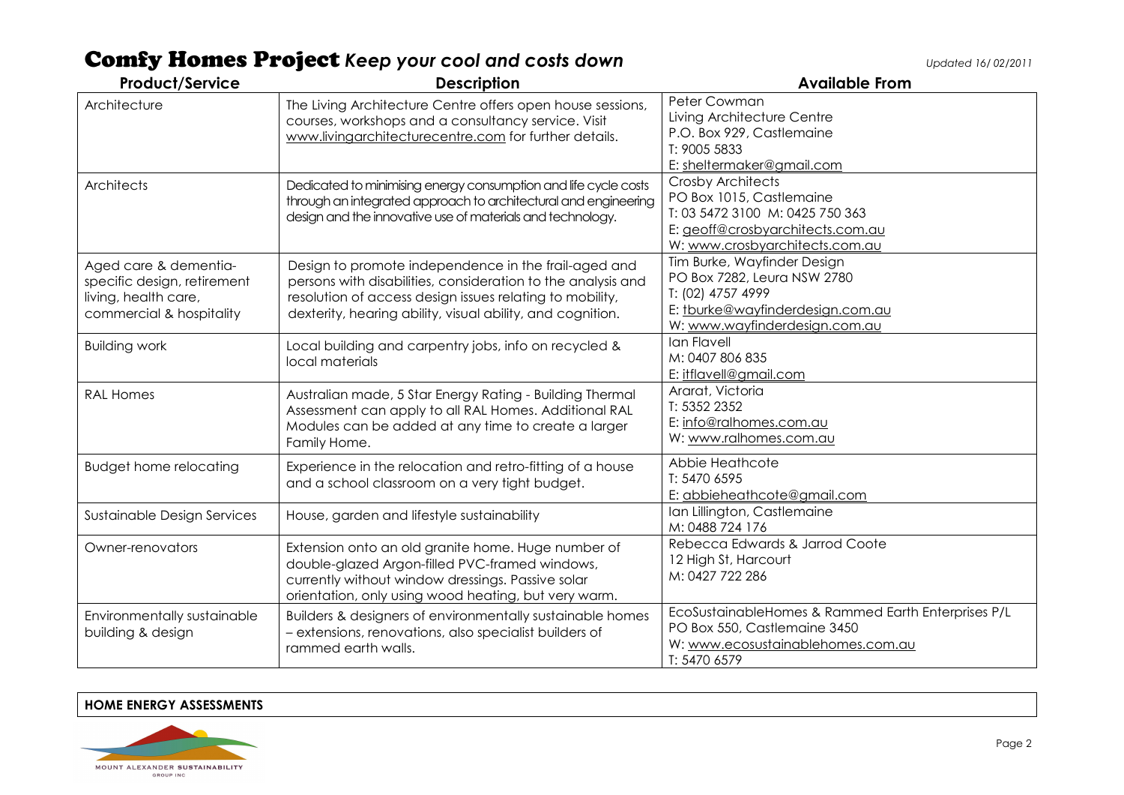| <b>Product/Service</b>                                                                                   | <b>Description</b>                                                                                                                                                                                                                             | <b>Available From</b>                                                                                                                                         |
|----------------------------------------------------------------------------------------------------------|------------------------------------------------------------------------------------------------------------------------------------------------------------------------------------------------------------------------------------------------|---------------------------------------------------------------------------------------------------------------------------------------------------------------|
| Architecture                                                                                             | The Living Architecture Centre offers open house sessions,<br>courses, workshops and a consultancy service. Visit<br>www.livingarchitecturecentre.com for further details.                                                                     | Peter Cowman<br>Living Architecture Centre<br>P.O. Box 929, Castlemaine<br>T: 9005 5833<br>E: sheltermaker@gmail.com                                          |
| Architects                                                                                               | Dedicated to minimising energy consumption and life cycle costs<br>through an integrated approach to architectural and engineering<br>design and the innovative use of materials and technology.                                               | <b>Crosby Architects</b><br>PO Box 1015, Castlemaine<br>T: 03 5472 3100 M: 0425 750 363<br>E: geoff@crosbyarchitects.com.au<br>W: www.crosbyarchitects.com.au |
| Aged care & dementia-<br>specific design, retirement<br>living, health care,<br>commercial & hospitality | Design to promote independence in the frail-aged and<br>persons with disabilities, consideration to the analysis and<br>resolution of access design issues relating to mobility,<br>dexterity, hearing ability, visual ability, and cognition. | Tim Burke, Wayfinder Design<br>PO Box 7282, Leura NSW 2780<br>T: (02) 4757 4999<br>E: tburke@wayfinderdesign.com.au<br>W: www.wayfinderdesign.com.au          |
| <b>Building work</b>                                                                                     | Local building and carpentry jobs, info on recycled &<br>local materials                                                                                                                                                                       | Ian Flavell<br>M: 0407 806 835<br>E: itflavell@gmail.com                                                                                                      |
| <b>RAL Homes</b>                                                                                         | Australian made, 5 Star Energy Rating - Building Thermal<br>Assessment can apply to all RAL Homes. Additional RAL<br>Modules can be added at any time to create a larger<br>Family Home.                                                       | Ararat, Victoria<br>T: 5352 2352<br>E: info@ralhomes.com.au<br>W: www.ralhomes.com.au                                                                         |
| <b>Budget home relocating</b>                                                                            | Experience in the relocation and retro-fitting of a house<br>and a school classroom on a very tight budget.                                                                                                                                    | Abbie Heathcote<br>T: 5470 6595<br>E: abbieheathcote@gmail.com                                                                                                |
| Sustainable Design Services                                                                              | House, garden and lifestyle sustainability                                                                                                                                                                                                     | Ian Lillington, Castlemaine<br>M: 0488 724 176                                                                                                                |
| Owner-renovators                                                                                         | Extension onto an old granite home. Huge number of<br>double-glazed Argon-filled PVC-framed windows,<br>currently without window dressings. Passive solar<br>orientation, only using wood heating, but very warm.                              | Rebecca Edwards & Jarrod Coote<br>12 High St, Harcourt<br>M: 0427 722 286                                                                                     |
| Environmentally sustainable<br>building & design                                                         | Builders & designers of environmentally sustainable homes<br>- extensions, renovations, also specialist builders of<br>rammed earth walls.                                                                                                     | EcoSustainableHomes & Rammed Earth Enterprises P/L<br>PO Box 550, Castlemaine 3450<br>W: www.ecosustainablehomes.com.au<br>T: 5470 6579                       |

#### HOME ENERGY ASSESSMENTS

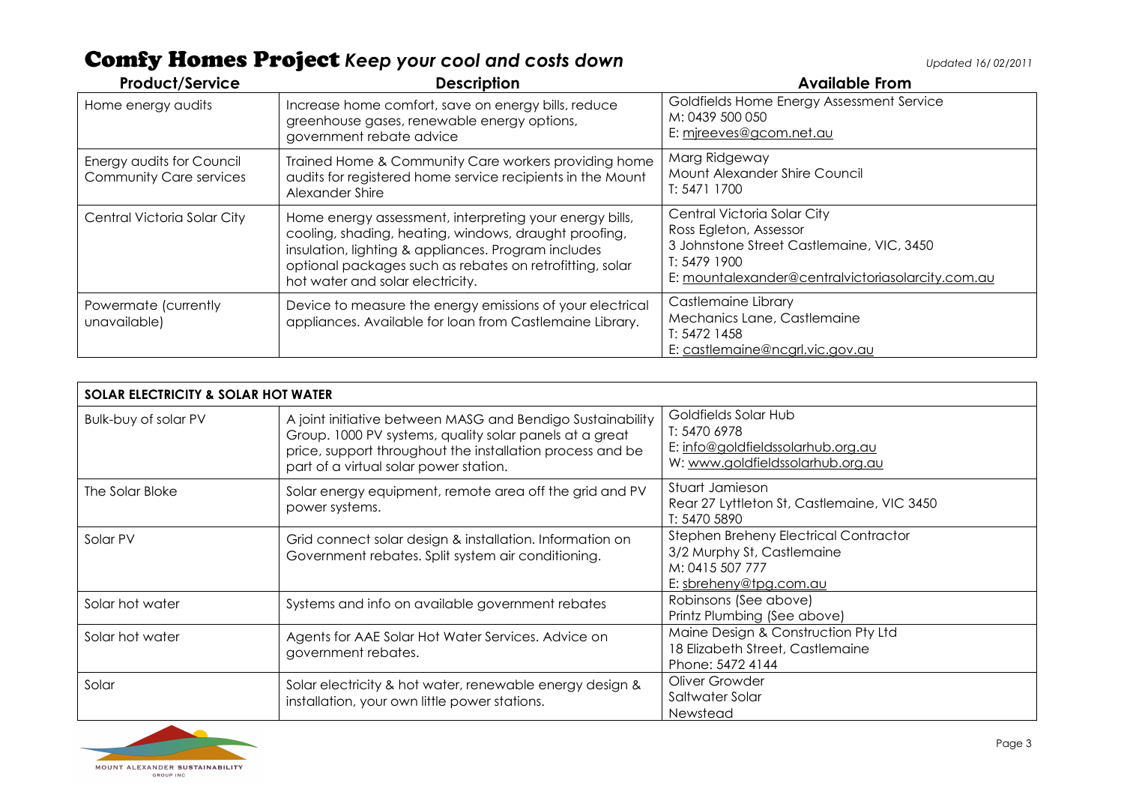| <b>Product/Service</b>                                      | <b>Description</b>                                                                                                                                                                                                                                                      | <b>Available From</b>                                                                                                                                                   |
|-------------------------------------------------------------|-------------------------------------------------------------------------------------------------------------------------------------------------------------------------------------------------------------------------------------------------------------------------|-------------------------------------------------------------------------------------------------------------------------------------------------------------------------|
| Home energy audits                                          | Increase home comfort, save on energy bills, reduce<br>greenhouse gases, renewable energy options,<br>government rebate advice                                                                                                                                          | Goldfields Home Energy Assessment Service<br>M: 0439 500 050<br>E: mireeves@gcom.net.au                                                                                 |
| Energy audits for Council<br><b>Community Care services</b> | Trained Home & Community Care workers providing home<br>audits for registered home service recipients in the Mount<br>Alexander Shire                                                                                                                                   | Marg Ridgeway<br>Mount Alexander Shire Council<br>T: 5471 1700                                                                                                          |
| Central Victoria Solar City                                 | Home energy assessment, interpreting your energy bills,<br>cooling, shading, heating, windows, draught proofing,<br>insulation, lighting & appliances. Program includes<br>optional packages such as rebates on retrofitting, solar<br>hot water and solar electricity. | Central Victoria Solar City<br>Ross Egleton, Assessor<br>3 Johnstone Street Castlemaine, VIC, 3450<br>T: 5479 1900<br>E: mountalexander@centralvictoriasolarcity.com.au |
| Powermate (currently<br>unavailable)                        | Device to measure the energy emissions of your electrical<br>appliances. Available for loan from Castlemaine Library.                                                                                                                                                   | Castlemaine Library<br>Mechanics Lane, Castlemaine<br>T: 5472 1458<br>E: castlemaine@ncgrl.vic.gov.au                                                                   |

| <b>SOLAR ELECTRICITY &amp; SOLAR HOT WATER</b> |                                                                                                                                                                                                                              |                                                                                                                  |
|------------------------------------------------|------------------------------------------------------------------------------------------------------------------------------------------------------------------------------------------------------------------------------|------------------------------------------------------------------------------------------------------------------|
| <b>Bulk-buy of solar PV</b>                    | A joint initiative between MASG and Bendigo Sustainability<br>Group. 1000 PV systems, quality solar panels at a great<br>price, support throughout the installation process and be<br>part of a virtual solar power station. | Goldfields Solar Hub<br>T: 5470 6978<br>E: info@goldfieldssolarhub.org.au<br>W: www.goldfieldssolarhub.org.au    |
| The Solar Bloke                                | Solar energy equipment, remote area off the grid and PV<br>power systems.                                                                                                                                                    | Stuart Jamieson<br>Rear 27 Lyttleton St, Castlemaine, VIC 3450<br>T: 5470 5890                                   |
| Solar PV                                       | Grid connect solar design & installation. Information on<br>Government rebates. Split system air conditioning.                                                                                                               | Stephen Breheny Electrical Contractor<br>3/2 Murphy St, Castlemaine<br>M: 0415 507 777<br>E: sbreheny@tpg.com.au |
| Solar hot water                                | Systems and info on available government rebates                                                                                                                                                                             | Robinsons (See above)<br>Printz Plumbing (See above)                                                             |
| Solar hot water                                | Agents for AAE Solar Hot Water Services. Advice on<br>government rebates.                                                                                                                                                    | Maine Design & Construction Pty Ltd<br>18 Elizabeth Street, Castlemaine<br>Phone: 5472 4144                      |
| Solar                                          | Solar electricity & hot water, renewable energy design &<br>installation, your own little power stations.                                                                                                                    | Oliver Growder<br>Saltwater Solar<br>Newstead                                                                    |

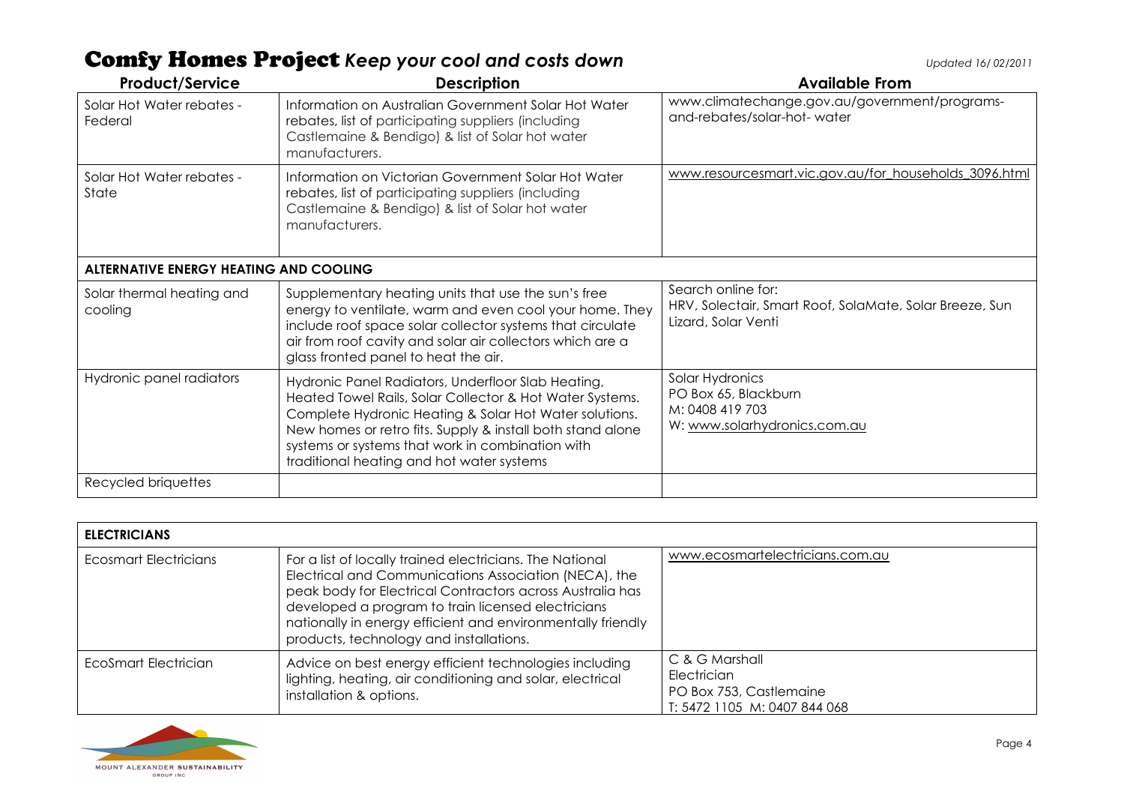| <b>Product/Service</b>                        | <b>Description</b>                                                                                                                                                                                                                                                                                                                      | <b>Available From</b>                                                                                |
|-----------------------------------------------|-----------------------------------------------------------------------------------------------------------------------------------------------------------------------------------------------------------------------------------------------------------------------------------------------------------------------------------------|------------------------------------------------------------------------------------------------------|
| Solar Hot Water rebates -<br>Federal          | Information on Australian Government Solar Hot Water<br>rebates, list of participating suppliers (including<br>Castlemaine & Bendigo) & list of Solar hot water<br>manufacturers.                                                                                                                                                       | www.climatechange.gov.au/government/programs-<br>and-rebates/solar-hot-water                         |
| Solar Hot Water rebates -<br>State            | Information on Victorian Government Solar Hot Water<br>rebates, list of participating suppliers (including<br>Castlemaine & Bendigo) & list of Solar hot water<br>manufacturers.                                                                                                                                                        | www.resourcesmart.vic.gov.au/for_households_3096.html                                                |
| <b>ALTERNATIVE ENERGY HEATING AND COOLING</b> |                                                                                                                                                                                                                                                                                                                                         |                                                                                                      |
| Solar thermal heating and<br>cooling          | Supplementary heating units that use the sun's free<br>energy to ventilate, warm and even cool your home. They<br>include roof space solar collector systems that circulate<br>air from roof cavity and solar air collectors which are a<br>glass fronted panel to heat the air.                                                        | Search online for:<br>HRV, Solectair, Smart Roof, SolaMate, Solar Breeze, Sun<br>Lizard, Solar Venti |
| Hydronic panel radiators                      | Hydronic Panel Radiators, Underfloor Slab Heating,<br>Heated Towel Rails, Solar Collector & Hot Water Systems.<br>Complete Hydronic Heating & Solar Hot Water solutions.<br>New homes or retro fits. Supply & install both stand alone<br>systems or systems that work in combination with<br>traditional heating and hot water systems | Solar Hydronics<br>PO Box 65, Blackburn<br>M: 0408 419 703<br>W: www.solarhydronics.com.au           |
| Recycled briquettes                           |                                                                                                                                                                                                                                                                                                                                         |                                                                                                      |

| <b>ELECTRICIANS</b>   |                                                                                                                                                                                                                                                                                                                                                |                                                                                          |
|-----------------------|------------------------------------------------------------------------------------------------------------------------------------------------------------------------------------------------------------------------------------------------------------------------------------------------------------------------------------------------|------------------------------------------------------------------------------------------|
| Ecosmart Electricians | For a list of locally trained electricians. The National<br>Electrical and Communications Association (NECA), the<br>peak body for Electrical Contractors across Australia has<br>developed a program to train licensed electricians<br>nationally in energy efficient and environmentally friendly<br>products, technology and installations. | www.ecosmartelectricians.com.au                                                          |
| EcoSmart Electrician  | Advice on best energy efficient technologies including<br>lighting, heating, air conditioning and solar, electrical<br>installation & options.                                                                                                                                                                                                 | C & G Marshall<br>Electrician<br>PO Box 753, Castlemaine<br>T: 5472 1105 M: 0407 844 068 |

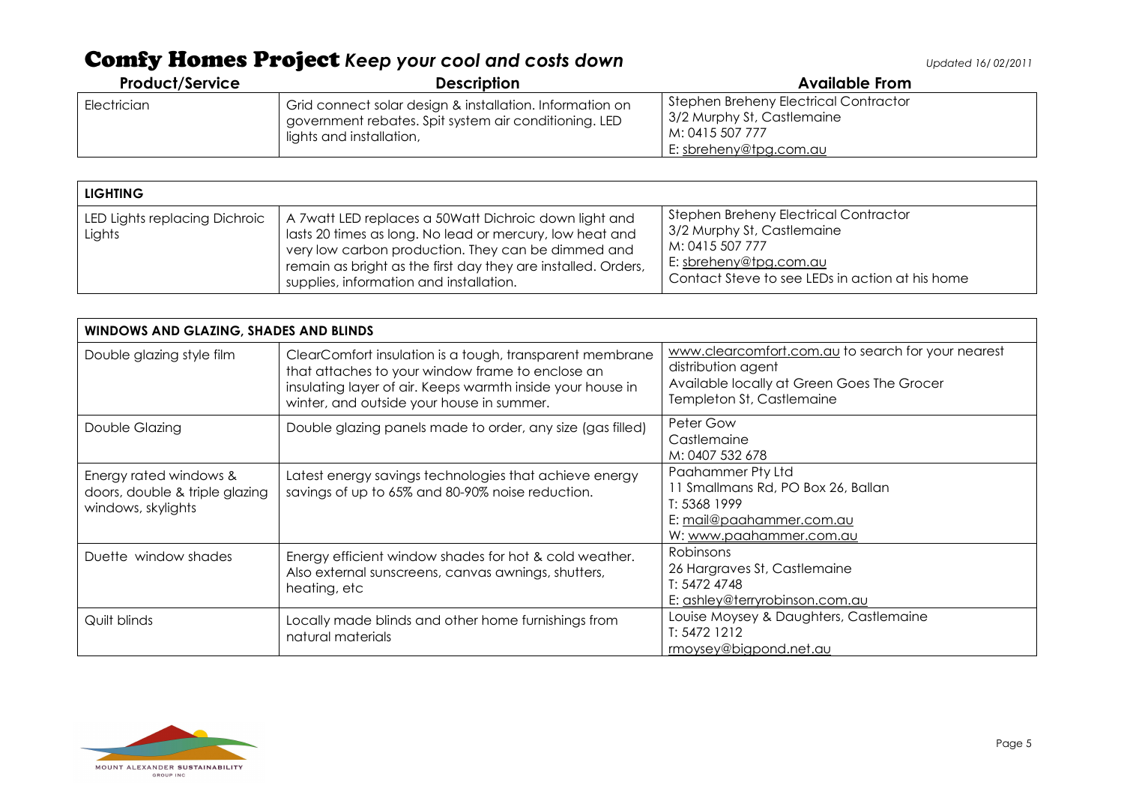| <b>Product/Service</b> | <b>Description</b>                                                                                                                            | <b>Available From</b>                                                                                                         |
|------------------------|-----------------------------------------------------------------------------------------------------------------------------------------------|-------------------------------------------------------------------------------------------------------------------------------|
| Electrician            | Grid connect solar design & installation. Information on<br>government rebates. Spit system air conditioning. LED<br>lights and installation, | Stephen Breheny Electrical Contractor<br><sup>1</sup> 3/2 Murphy St, Castlemaine<br>M: 0415 507 777<br>E: sbreheny@tpg.com.au |

| <b>LIGHTING</b>                         |                                                                                                                                                                                                                                                                                     |                                                                                                                                                                            |
|-----------------------------------------|-------------------------------------------------------------------------------------------------------------------------------------------------------------------------------------------------------------------------------------------------------------------------------------|----------------------------------------------------------------------------------------------------------------------------------------------------------------------------|
| LED Lights replacing Dichroic<br>Lights | A 7watt LED replaces a 50Watt Dichroic down light and<br>lasts 20 times as long. No lead or mercury, low heat and<br>very low carbon production. They can be dimmed and<br>remain as bright as the first day they are installed. Orders,<br>supplies, information and installation. | <b>Stephen Breheny Electrical Contractor</b><br>3/2 Murphy St, Castlemaine<br>M: 0415 507 777<br>E: sbreheny@tpg.com.au<br>Contact Steve to see LEDs in action at his home |

| WINDOWS AND GLAZING, SHADES AND BLINDS                                         |                                                                                                                                                                                                                         |                                                                                                                                                     |
|--------------------------------------------------------------------------------|-------------------------------------------------------------------------------------------------------------------------------------------------------------------------------------------------------------------------|-----------------------------------------------------------------------------------------------------------------------------------------------------|
| Double glazing style film                                                      | ClearComfort insulation is a tough, transparent membrane<br>that attaches to your window frame to enclose an<br>insulating layer of air. Keeps warmth inside your house in<br>winter, and outside your house in summer. | www.clearcomfort.com.au to search for your nearest<br>distribution agent<br>Available locally at Green Goes The Grocer<br>Templeton St, Castlemaine |
| Double Glazing                                                                 | Double glazing panels made to order, any size (gas filled)                                                                                                                                                              | Peter Gow<br>Castlemaine<br>M: 0407 532 678                                                                                                         |
| Energy rated windows &<br>doors, double & triple glazing<br>windows, skylights | Latest energy savings technologies that achieve energy<br>savings of up to 65% and 80-90% noise reduction.                                                                                                              | Paahammer Pty Ltd<br>11 Smallmans Rd, PO Box 26, Ballan<br>T: 5368 1999<br>E: mail@paahammer.com.au<br>W: www.paahammer.com.au                      |
| Duette window shades                                                           | Energy efficient window shades for hot & cold weather.<br>Also external sunscreens, canvas awnings, shutters,<br>heating, etc                                                                                           | Robinsons<br>26 Hargraves St, Castlemaine<br>T: 54724748<br>E: ashley@terryrobinson.com.au                                                          |
| Quilt blinds                                                                   | Locally made blinds and other home furnishings from<br>natural materials                                                                                                                                                | Louise Moysey & Daughters, Castlemaine<br>T: 5472 1212<br>rmoysey@bigpond.net.au                                                                    |

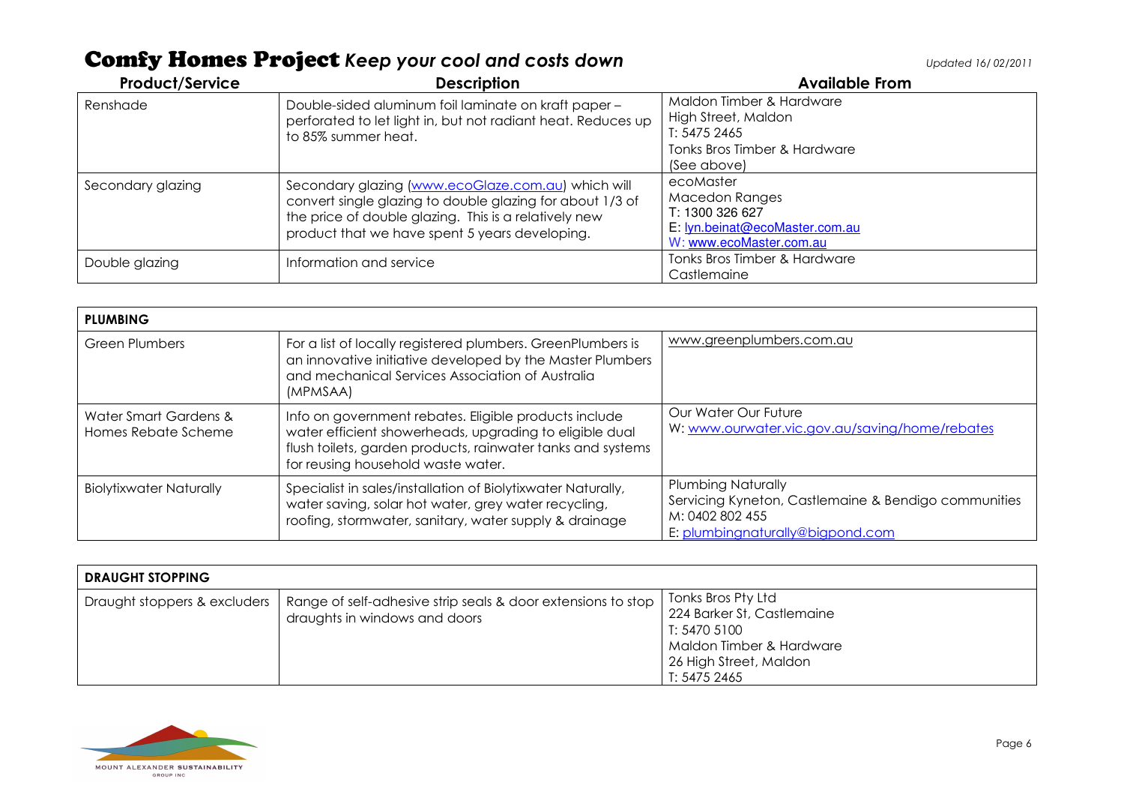Product/Service **Description** Description **Description** Available From Renshade Double-sided aluminum foil laminate on kraft paper – perforated to let light in, but not radiant heat. Reduces up to 85% summer heat. Maldon Timber & Hardware High Street, Maldon T: 5475 2465 Tonks Bros Timber & Hardware (See above) Secondary glazing Secondary glazing (www.ecoGlaze.com.au) which will convert single glazing to double glazing for about 1/3 of the price of double glazing. This is a relatively new product that we have spent 5 years developing. ecoMaster Macedon Ranges T: 1300 326 627E: <u>lyn.beinat@ecoMaster.com.au</u> W: www.ecoMaster.com.auTonks Bros Timber & Hardware Double glazing **Information and service Community Castlemaine** Tonks Bros Timber & Hardware Castlemaine

| <b>PLUMBING</b>                              |                                                                                                                                                                                                                       |                                                                                                                                          |
|----------------------------------------------|-----------------------------------------------------------------------------------------------------------------------------------------------------------------------------------------------------------------------|------------------------------------------------------------------------------------------------------------------------------------------|
| <b>Green Plumbers</b>                        | For a list of locally registered plumbers. GreenPlumbers is<br>an innovative initiative developed by the Master Plumbers<br>and mechanical Services Association of Australia<br>(MPMSAA)                              | www.greenplumbers.com.au                                                                                                                 |
| Water Smart Gardens &<br>Homes Rebate Scheme | Info on government rebates. Eligible products include<br>water efficient showerheads, upgrading to eligible dual<br>flush toilets, garden products, rainwater tanks and systems<br>for reusing household waste water. | Our Water Our Future<br>W: www.ourwater.vic.gov.au/saving/home/rebates                                                                   |
| Biolytixwater Naturally                      | Specialist in sales/installation of Biolytixwater Naturally,<br>water saving, solar hot water, grey water recycling,<br>roofing, stormwater, sanitary, water supply & drainage                                        | <b>Plumbing Naturally</b><br>Servicing Kyneton, Castlemaine & Bendigo communities<br>M: 0402 802 455<br>E: plumbingnaturally@bigpond.com |

| <b>DRAUGHT STOPPING</b>      |                                                                                               |                                                                                                                                        |
|------------------------------|-----------------------------------------------------------------------------------------------|----------------------------------------------------------------------------------------------------------------------------------------|
| Draught stoppers & excluders | Range of self-adhesive strip seals & door extensions to stop<br>draughts in windows and doors | Tonks Bros Pty Ltd<br>224 Barker St, Castlemaine<br>T: 5470 5100<br>Maldon Timber & Hardware<br>26 High Street, Maldon<br>T: 5475 2465 |

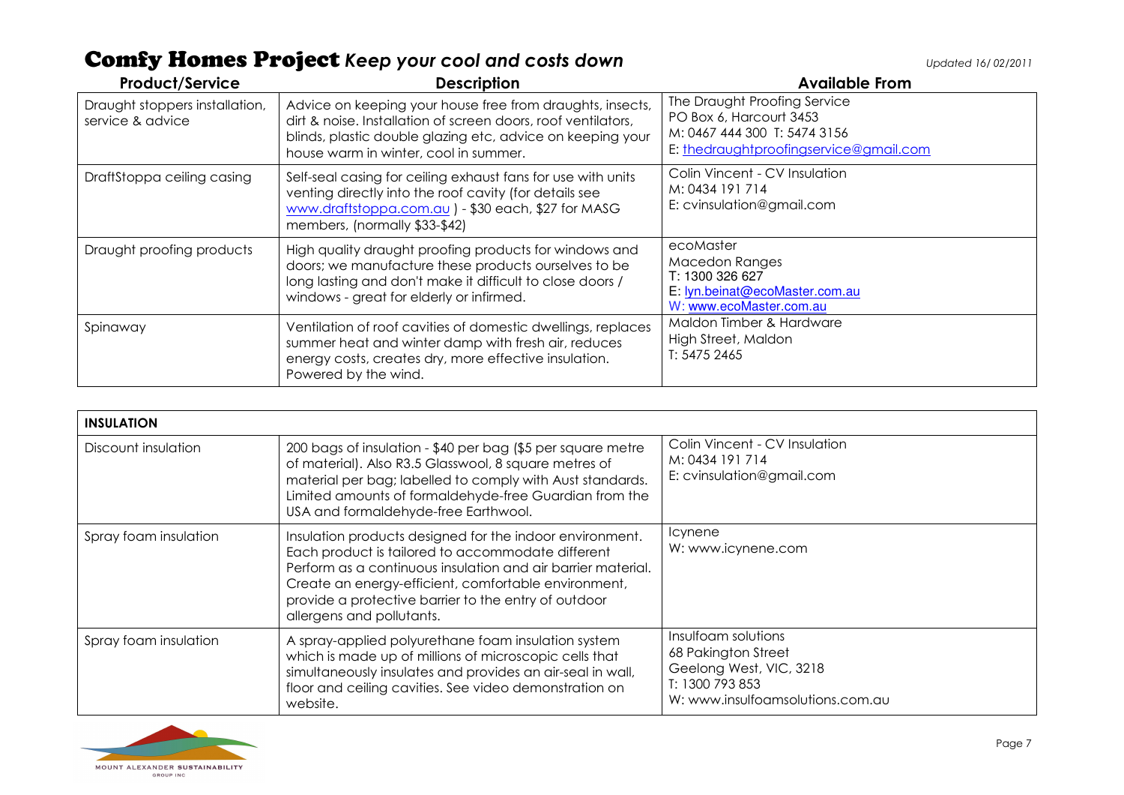| <b>Product/Service</b>                             | <b>Description</b>                                                                                                                                                                                                                | <b>Available From</b>                                                                                                             |
|----------------------------------------------------|-----------------------------------------------------------------------------------------------------------------------------------------------------------------------------------------------------------------------------------|-----------------------------------------------------------------------------------------------------------------------------------|
| Draught stoppers installation,<br>service & advice | Advice on keeping your house free from draughts, insects,<br>dirt & noise. Installation of screen doors, roof ventilators,<br>blinds, plastic double glazing etc, advice on keeping your<br>house warm in winter, cool in summer. | The Draught Proofing Service<br>PO Box 6, Harcourt 3453<br>M: 0467 444 300 T: 5474 3156<br>E: thedraughtproofingservice@gmail.com |
| DraftStoppa ceiling casing                         | Self-seal casing for ceiling exhaust fans for use with units<br>venting directly into the roof cavity (for details see<br>www.draftstoppa.com.au ) - \$30 each, \$27 for MASG<br>members, (normally \$33-\$42)                    | Colin Vincent - CV Insulation<br>M: 0434 191 714<br>E: cvinsulation@gmail.com                                                     |
| Draught proofing products                          | High quality draught proofing products for windows and<br>doors; we manufacture these products ourselves to be<br>long lasting and don't make it difficult to close doors /<br>windows - great for elderly or infirmed.           | ecoMaster<br>Macedon Ranges<br>T: 1300 326 627<br>E: lyn.beinat@ecoMaster.com.au<br>W: www.ecoMaster.com.au                       |
| Spinaway                                           | Ventilation of roof cavities of domestic dwellings, replaces<br>summer heat and winter damp with fresh air, reduces<br>energy costs, creates dry, more effective insulation.<br>Powered by the wind.                              | Maldon Timber & Hardware<br>High Street, Maldon<br>T: 5475 2465                                                                   |

| <b>INSULATION</b>     |                                                                                                                                                                                                                                                                                                                            |                                                                                                                              |
|-----------------------|----------------------------------------------------------------------------------------------------------------------------------------------------------------------------------------------------------------------------------------------------------------------------------------------------------------------------|------------------------------------------------------------------------------------------------------------------------------|
| Discount insulation   | 200 bags of insulation - \$40 per bag (\$5 per square metre<br>of material). Also R3.5 Glasswool, 8 square metres of<br>material per bag; labelled to comply with Aust standards.<br>Limited amounts of formaldehyde-free Guardian from the<br>USA and formaldehyde-free Earthwool.                                        | Colin Vincent - CV Insulation<br>M: 0434 191 714<br>E: cvinsulation@gmail.com                                                |
| Spray foam insulation | Insulation products designed for the indoor environment.<br>Each product is tailored to accommodate different<br>Perform as a continuous insulation and air barrier material.<br>Create an energy-efficient, comfortable environment,<br>provide a protective barrier to the entry of outdoor<br>allergens and pollutants. | <b>Icynene</b><br>W: www.icynene.com                                                                                         |
| Spray foam insulation | A spray-applied polyurethane foam insulation system<br>which is made up of millions of microscopic cells that<br>simultaneously insulates and provides an air-seal in wall,<br>floor and ceiling cavities. See video demonstration on<br>website.                                                                          | Insulfoam solutions<br>68 Pakington Street<br>Geelong West, VIC, 3218<br>T: 1300 793 853<br>W: www.insulfoamsolutions.com.au |

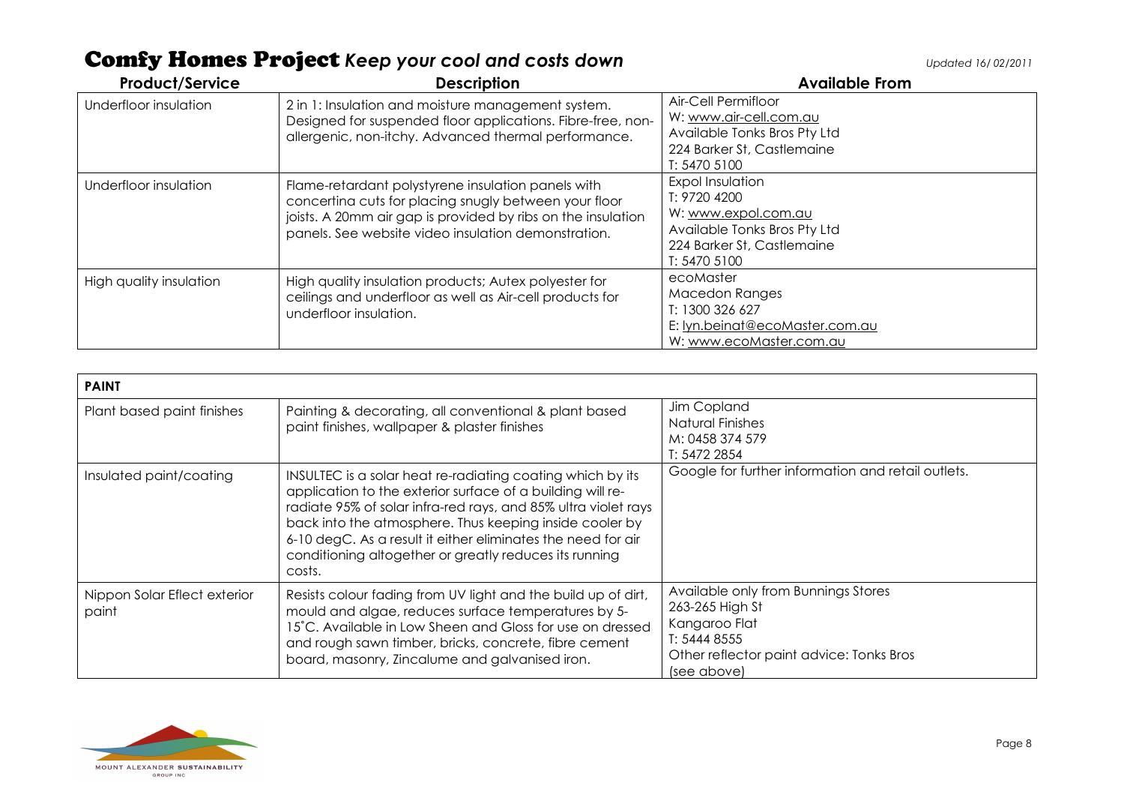| <b>Product/Service</b>  | <b>Description</b>                                                                                                                                                                                                                 | <b>Available From</b>                                                                                                                        |
|-------------------------|------------------------------------------------------------------------------------------------------------------------------------------------------------------------------------------------------------------------------------|----------------------------------------------------------------------------------------------------------------------------------------------|
| Underfloor insulation   | 2 in 1: Insulation and moisture management system.<br>Designed for suspended floor applications. Fibre-free, non-<br>allergenic, non-itchy. Advanced thermal performance.                                                          | Air-Cell Permifloor<br>W: www.air-cell.com.au<br>Available Tonks Bros Pty Ltd<br>224 Barker St, Castlemaine<br>T: 5470 5100                  |
| Underfloor insulation   | Flame-retardant polystyrene insulation panels with<br>concerting cuts for placing snugly between your floor<br>joists. A 20mm air gap is provided by ribs on the insulation<br>panels. See website video insulation demonstration. | <b>Expol Insulation</b><br>T: 9720 4200<br>W: www.expol.com.au<br>Available Tonks Bros Pty Ltd<br>224 Barker St, Castlemaine<br>T: 5470 5100 |
| High quality insulation | High quality insulation products; Autex polyester for<br>ceilings and underfloor as well as Air-cell products for<br>underfloor insulation.                                                                                        | ecoMaster<br><b>Macedon Ranges</b><br>T: 1300 326 627<br>E: lyn.beinat@ecoMaster.com.au<br>W: www.ecoMaster.com.au                           |

| <b>PAINT</b>                          |                                                                                                                                                                                                                                                                                                                                                                                           |                                                                                                                                                    |
|---------------------------------------|-------------------------------------------------------------------------------------------------------------------------------------------------------------------------------------------------------------------------------------------------------------------------------------------------------------------------------------------------------------------------------------------|----------------------------------------------------------------------------------------------------------------------------------------------------|
| Plant based paint finishes            | Painting & decorating, all conventional & plant based<br>paint finishes, wallpaper & plaster finishes                                                                                                                                                                                                                                                                                     | Jim Copland<br>Natural Finishes<br>M: 0458 374 579<br>T: 5472 2854                                                                                 |
| Insulated paint/coating               | INSULTEC is a solar heat re-radiating coating which by its<br>application to the exterior surface of a building will re-<br>radiate 95% of solar infra-red rays, and 85% ultra violet rays<br>back into the atmosphere. Thus keeping inside cooler by<br>6-10 degC. As a result it either eliminates the need for air<br>conditioning altogether or greatly reduces its running<br>costs. | Google for further information and retail outlets.                                                                                                 |
| Nippon Solar Eflect exterior<br>paint | Resists colour fading from UV light and the build up of dirt,<br>mould and algae, reduces surface temperatures by 5-<br>15°C. Available in Low Sheen and Gloss for use on dressed<br>and rough sawn timber, bricks, concrete, fibre cement<br>board, masonry, Zincalume and galvanised iron.                                                                                              | Available only from Bunnings Stores<br>263-265 High St<br>Kangaroo Flat<br>T: 5444 8555<br>Other reflector paint advice: Tonks Bros<br>(see above) |

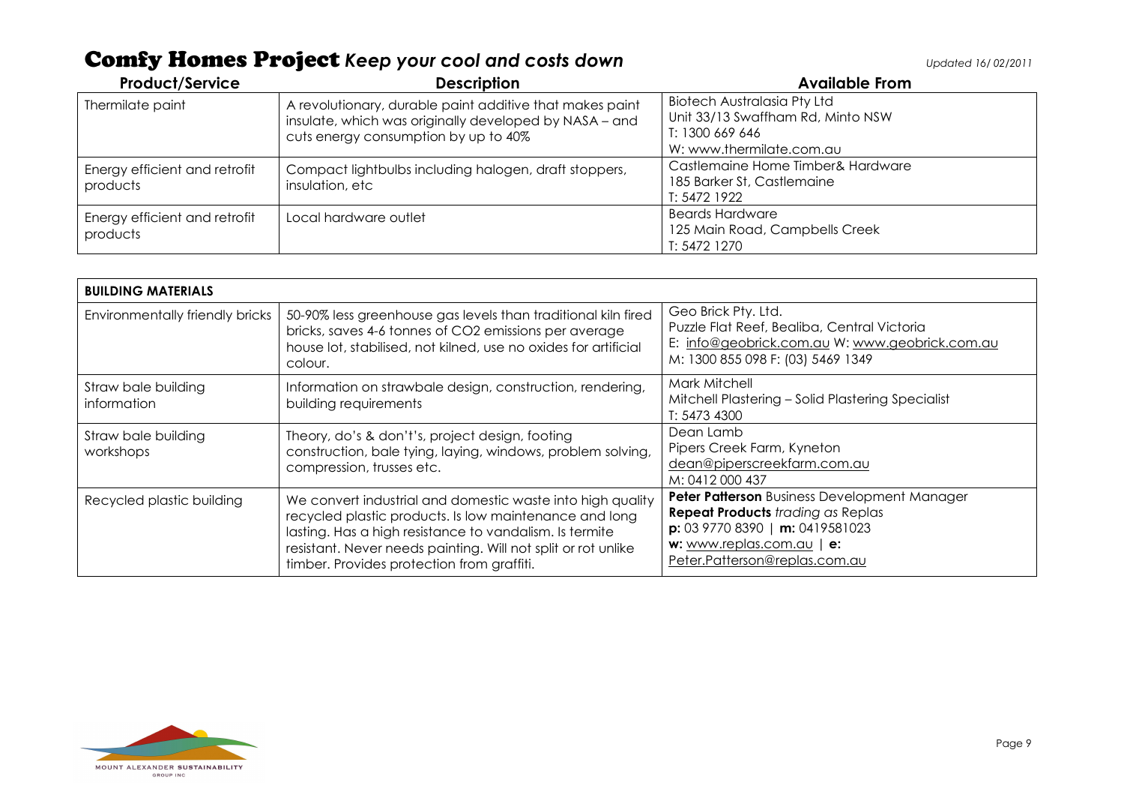| <b>Product/Service</b>                    | <b>Description</b>                                                                                                                                         | <b>Available From</b>                                                                                                  |
|-------------------------------------------|------------------------------------------------------------------------------------------------------------------------------------------------------------|------------------------------------------------------------------------------------------------------------------------|
| Thermilate paint                          | A revolutionary, durable paint additive that makes paint<br>insulate, which was originally developed by NASA - and<br>cuts energy consumption by up to 40% | <b>Biotech Australasia Pty Ltd</b><br>Unit 33/13 Swaffham Rd, Minto NSW<br>T: 1300 669 646<br>W: www.thermilate.com.au |
| Energy efficient and retrofit<br>products | Compact lightbulbs including halogen, draft stoppers,<br>insulation, etc                                                                                   | Castlemaine Home Timber& Hardware<br>185 Barker St, Castlemaine<br>T: 5472 1922                                        |
| Energy efficient and retrofit<br>products | Local hardware outlet                                                                                                                                      | <b>Beards Hardware</b><br>125 Main Road, Campbells Creek<br>T: 5472 1270                                               |

| <b>BUILDING MATERIALS</b>          |                                                                                                                                                                                                                                                                                                |                                                                                                                                                                                              |
|------------------------------------|------------------------------------------------------------------------------------------------------------------------------------------------------------------------------------------------------------------------------------------------------------------------------------------------|----------------------------------------------------------------------------------------------------------------------------------------------------------------------------------------------|
| Environmentally friendly bricks    | 50-90% less greenhouse gas levels than traditional kiln fired<br>bricks, saves 4-6 tonnes of CO2 emissions per average<br>house lot, stabilised, not kilned, use no oxides for artificial<br>colour.                                                                                           | Geo Brick Pty. Ltd.<br>Puzzle Flat Reef, Bealiba, Central Victoria<br>E: info@geobrick.com.au W: www.geobrick.com.au<br>M: 1300 855 098 F: (03) 5469 1349                                    |
| Straw bale building<br>information | Information on strawbale design, construction, rendering,<br>building requirements                                                                                                                                                                                                             | Mark Mitchell<br>Mitchell Plastering - Solid Plastering Specialist<br>T: 5473 4300                                                                                                           |
| Straw bale building<br>workshops   | Theory, do's & don't's, project design, footing<br>construction, bale tying, laying, windows, problem solving,<br>compression, trusses etc.                                                                                                                                                    | Dean Lamb<br>Pipers Creek Farm, Kyneton<br>dean@piperscreekfarm.com.au<br>M: 0412 000 437                                                                                                    |
| Recycled plastic building          | We convert industrial and domestic waste into high quality<br>recycled plastic products. Is low maintenance and long<br>lasting. Has a high resistance to vandalism. Is termite<br>resistant. Never needs painting. Will not split or rot unlike<br>timber. Provides protection from graffiti. | Peter Patterson Business Development Manager<br><b>Repeat Products</b> trading as Replas<br>$p: 0397708390 \mid m: 0419581023$<br>w: www.replas.com.au   e:<br>Peter.Patterson@replas.com.au |

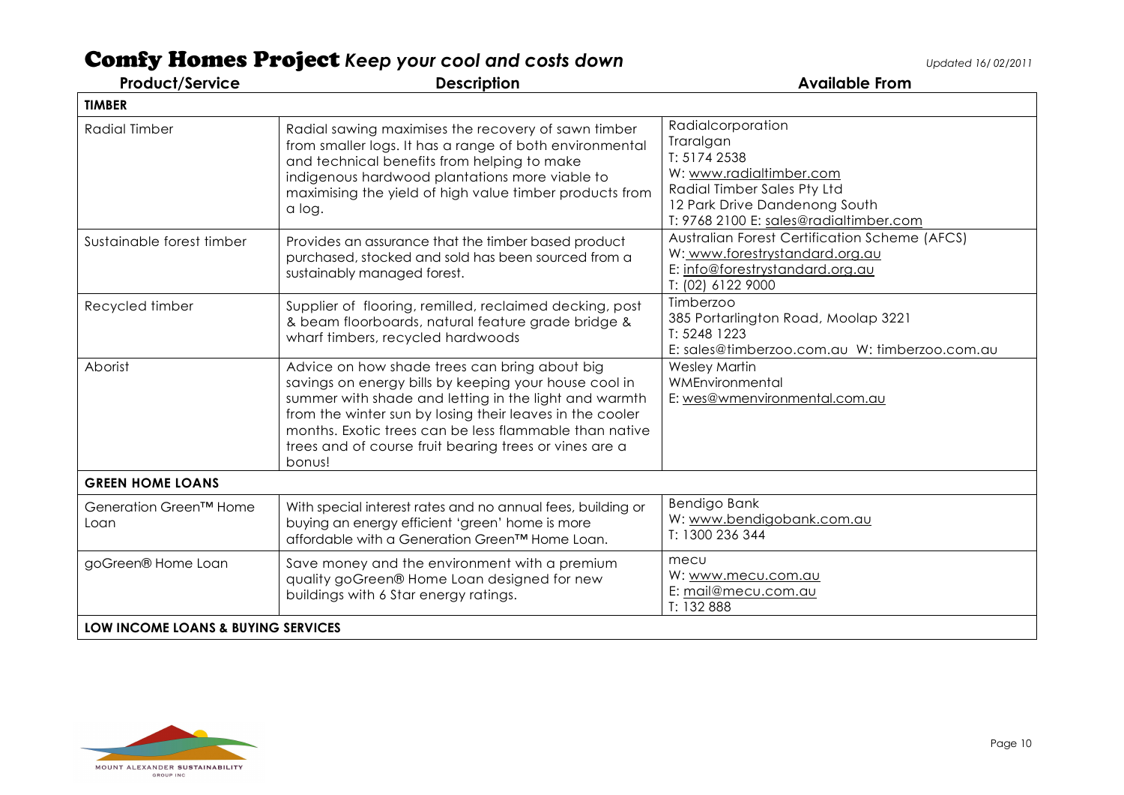| <b>Product/Service</b>             | <b>Description</b>                                                                                                                                                                                                                                                                                                                                        | <b>Available From</b>                                                                                                                                                               |
|------------------------------------|-----------------------------------------------------------------------------------------------------------------------------------------------------------------------------------------------------------------------------------------------------------------------------------------------------------------------------------------------------------|-------------------------------------------------------------------------------------------------------------------------------------------------------------------------------------|
| <b>TIMBER</b>                      |                                                                                                                                                                                                                                                                                                                                                           |                                                                                                                                                                                     |
| <b>Radial Timber</b>               | Radial sawing maximises the recovery of sawn timber<br>from smaller logs. It has a range of both environmental<br>and technical benefits from helping to make<br>indigenous hardwood plantations more viable to<br>maximising the yield of high value timber products from<br>a log.                                                                      | Radialcorporation<br>Traralgan<br>T: 5174 2538<br>W: www.radialtimber.com<br>Radial Timber Sales Pty Ltd<br>12 Park Drive Dandenong South<br>T: 9768 2100 E: sales@radialtimber.com |
| Sustainable forest timber          | Provides an assurance that the timber based product<br>purchased, stocked and sold has been sourced from a<br>sustainably managed forest.                                                                                                                                                                                                                 | <b>Australian Forest Certification Scheme (AFCS)</b><br>W: www.forestrystandard.org.au<br>E: info@forestrystandard.org.au<br>T: (02) 6122 9000                                      |
| Recycled timber                    | Supplier of flooring, remilled, reclaimed decking, post<br>& beam floorboards, natural feature grade bridge &<br>wharf timbers, recycled hardwoods                                                                                                                                                                                                        | Timberzoo<br>385 Portarlington Road, Moolap 3221<br>T: 5248 1223<br>E: sales@timberzoo.com.au W: timberzoo.com.au                                                                   |
| Aborist                            | Advice on how shade trees can bring about big<br>savings on energy bills by keeping your house cool in<br>summer with shade and letting in the light and warmth<br>from the winter sun by losing their leaves in the cooler<br>months. Exotic trees can be less flammable than native<br>trees and of course fruit bearing trees or vines are a<br>bonus! | <b>Wesley Martin</b><br>WMEnvironmental<br>E: wes@wmenvironmental.com.au                                                                                                            |
| <b>GREEN HOME LOANS</b>            |                                                                                                                                                                                                                                                                                                                                                           |                                                                                                                                                                                     |
| Generation Green™ Home<br>Loan     | With special interest rates and no annual fees, building or<br>buying an energy efficient 'green' home is more<br>affordable with a Generation Green™ Home Loan.                                                                                                                                                                                          | Bendigo Bank<br>W: www.bendigobank.com.au<br>T: 1300 236 344                                                                                                                        |
| goGreen® Home Loan                 | Save money and the environment with a premium<br>quality goGreen® Home Loan designed for new<br>buildings with 6 Star energy ratings.                                                                                                                                                                                                                     | mecu<br>W: www.mecu.com.au<br>E: mail@mecu.com.au<br>T: 132 888                                                                                                                     |
| LOW INCOME LOANS & BUYING SERVICES |                                                                                                                                                                                                                                                                                                                                                           |                                                                                                                                                                                     |

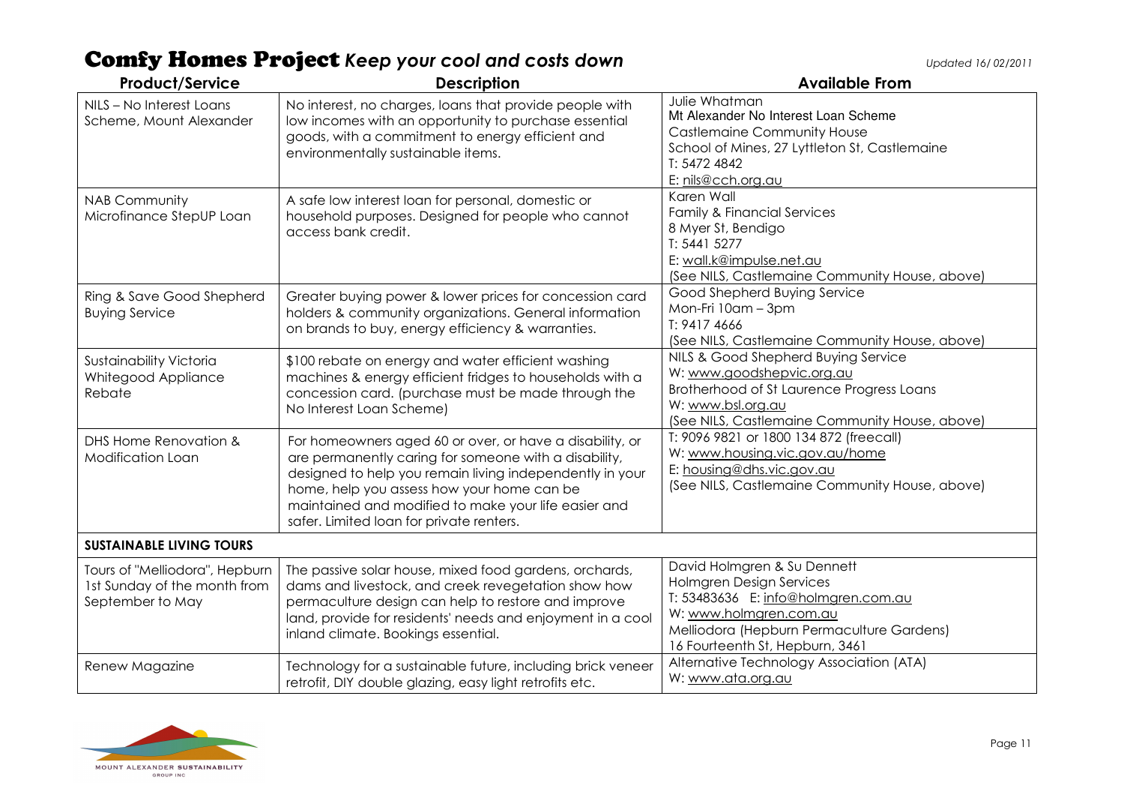| <b>Product/Service</b>                                                             | <b>Description</b>                                                                                                                                                                                                                                                                                                              | <b>Available From</b>                                                                                                                                                                                    |
|------------------------------------------------------------------------------------|---------------------------------------------------------------------------------------------------------------------------------------------------------------------------------------------------------------------------------------------------------------------------------------------------------------------------------|----------------------------------------------------------------------------------------------------------------------------------------------------------------------------------------------------------|
| NILS - No Interest Loans<br>Scheme, Mount Alexander                                | No interest, no charges, loans that provide people with<br>low incomes with an opportunity to purchase essential<br>goods, with a commitment to energy efficient and<br>environmentally sustainable items.                                                                                                                      | Julie Whatman<br>Mt Alexander No Interest Loan Scheme<br><b>Castlemaine Community House</b><br>School of Mines, 27 Lyttleton St, Castlemaine<br>T: 5472 4842<br>E: nils@cch.org.au                       |
| <b>NAB Community</b><br>Microfinance StepUP Loan                                   | A safe low interest loan for personal, domestic or<br>household purposes. Designed for people who cannot<br>access bank credit.                                                                                                                                                                                                 | Karen Wall<br><b>Family &amp; Financial Services</b><br>8 Myer St, Bendigo<br>T: 5441 5277<br>E: wall.k@impulse.net.au<br>(See NILS, Castlemaine Community House, above)                                 |
| Ring & Save Good Shepherd<br><b>Buying Service</b>                                 | Greater buying power & lower prices for concession card<br>holders & community organizations. General information<br>on brands to buy, energy efficiency & warranties.                                                                                                                                                          | Good Shepherd Buying Service<br>Mon-Fri 10am - 3pm<br>T: 9417 4666<br>(See NILS, Castlemaine Community House, above)                                                                                     |
| Sustainability Victoria<br>Whitegood Appliance<br>Rebate                           | \$100 rebate on energy and water efficient washing<br>machines & energy efficient fridges to households with a<br>concession card. (purchase must be made through the<br>No Interest Loan Scheme)                                                                                                                               | NILS & Good Shepherd Buying Service<br>W: www.goodshepvic.org.au<br>Brotherhood of St Laurence Progress Loans<br>W: www.bsl.org.au<br>(See NILS, Castlemaine Community House, above)                     |
| DHS Home Renovation &<br>Modification Loan                                         | For homeowners aged 60 or over, or have a disability, or<br>are permanently caring for someone with a disability,<br>designed to help you remain living independently in your<br>home, help you assess how your home can be<br>maintained and modified to make your life easier and<br>safer. Limited loan for private renters. | T: 9096 9821 or 1800 134 872 (freecall)<br>W: www.housing.vic.gov.au/home<br>E: housing@dhs.vic.gov.au<br>(See NILS, Castlemaine Community House, above)                                                 |
| <b>SUSTAINABLE LIVING TOURS</b>                                                    |                                                                                                                                                                                                                                                                                                                                 |                                                                                                                                                                                                          |
| Tours of "Melliodora", Hepburn<br>1st Sunday of the month from<br>September to May | The passive solar house, mixed food gardens, orchards,<br>dams and livestock, and creek revegetation show how<br>permaculture design can help to restore and improve<br>land, provide for residents' needs and enjoyment in a cool<br>inland climate. Bookings essential.                                                       | David Holmgren & Su Dennett<br>Holmgren Design Services<br>T: 53483636 E: info@holmgren.com.au<br>W: www.holmgren.com.au<br>Melliodora (Hepburn Permaculture Gardens)<br>16 Fourteenth St, Hepburn, 3461 |
| Renew Magazine                                                                     | Technology for a sustainable future, including brick veneer<br>retrofit, DIY double glazing, easy light retrofits etc.                                                                                                                                                                                                          | Alternative Technology Association (ATA)<br>W: www.ata.org.au                                                                                                                                            |

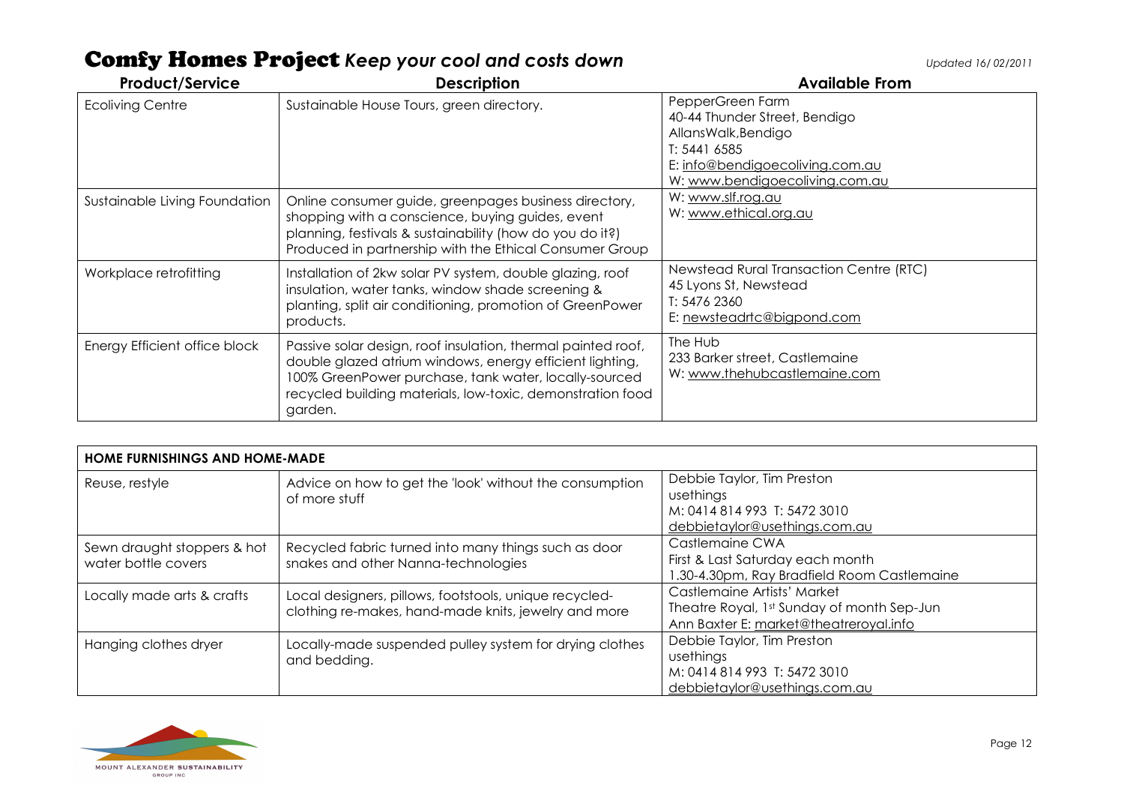| <b>Product/Service</b>        | <b>Description</b>                                                                                                                                                                                                                                         | <b>Available From</b>                                                                                                                                         |
|-------------------------------|------------------------------------------------------------------------------------------------------------------------------------------------------------------------------------------------------------------------------------------------------------|---------------------------------------------------------------------------------------------------------------------------------------------------------------|
| <b>Ecoliving Centre</b>       | Sustainable House Tours, green directory.                                                                                                                                                                                                                  | PepperGreen Farm<br>40-44 Thunder Street, Bendigo<br>AllansWalk, Bendigo<br>T: 5441 6585<br>E: info@bendigoecoliving.com.au<br>W: www.bendigoecoliving.com.au |
| Sustainable Living Foundation | Online consumer guide, greenpages business directory,<br>shopping with a conscience, buying guides, event<br>planning, festivals & sustainability (how do you do it?)<br>Produced in partnership with the Ethical Consumer Group                           | W: www.slf.rog.au<br>W: www.ethical.org.au                                                                                                                    |
| Workplace retrofitting        | Installation of 2kw solar PV system, double glazing, roof<br>insulation, water tanks, window shade screening &<br>planting, split air conditioning, promotion of GreenPower<br>products.                                                                   | Newstead Rural Transaction Centre (RTC)<br>45 Lyons St, Newstead<br>T: 5476 2360<br>E: newsteadrtc@bigpond.com                                                |
| Energy Efficient office block | Passive solar design, roof insulation, thermal painted roof,<br>double glazed atrium windows, energy efficient lighting,<br>100% GreenPower purchase, tank water, locally-sourced<br>recycled building materials, low-toxic, demonstration food<br>garden. | The Hub<br>233 Barker street, Castlemaine<br>W: www.thehubcastlemaine.com                                                                                     |

| <b>HOME FURNISHINGS AND HOME-MADE</b>              |                                                                                                                |                                                                                                                     |
|----------------------------------------------------|----------------------------------------------------------------------------------------------------------------|---------------------------------------------------------------------------------------------------------------------|
| Reuse, restyle                                     | Advice on how to get the 'look' without the consumption<br>of more stuff                                       | Debbie Taylor, Tim Preston<br>usethings<br>M: 0414 814 993 T: 5472 3010<br>debbietaylor@usethings.com.au            |
| Sewn draught stoppers & hot<br>water bottle covers | Recycled fabric turned into many things such as door<br>snakes and other Nanna-technologies                    | Castlemaine CWA<br>First & Last Saturday each month<br>1.30-4.30pm, Ray Bradfield Room Castlemaine                  |
| Locally made arts & crafts                         | Local designers, pillows, footstools, unique recycled-<br>clothing re-makes, hand-made knits, jewelry and more | Castlemaine Artists' Market<br>Theatre Royal, 1st Sunday of month Sep-Jun<br>Ann Baxter E: market@theatreroyal.info |
| Hanging clothes dryer                              | Locally-made suspended pulley system for drying clothes<br>and bedding.                                        | Debbie Taylor, Tim Preston<br>usethings<br>M: 0414 814 993 T: 5472 3010<br>debbietaylor@usethings.com.au            |

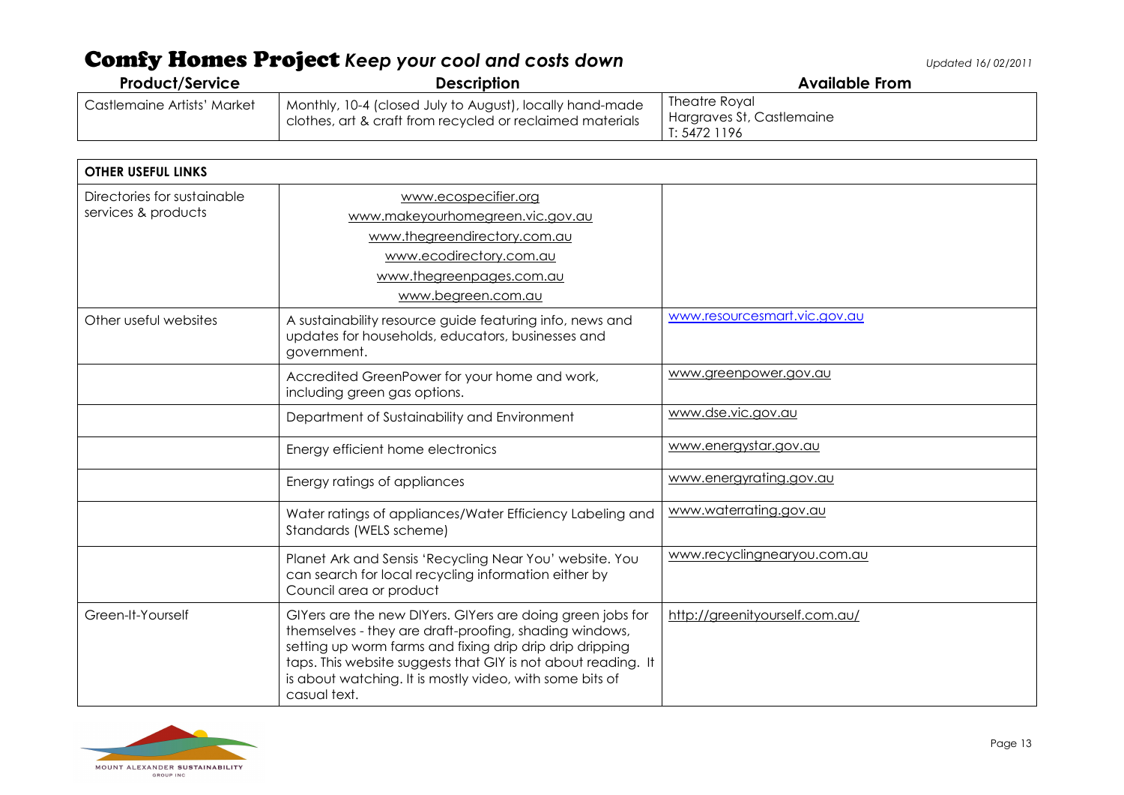| <b>Product/Service</b>      | <b>Description</b>                                                                                                    | <b>Available From</b>                                      |
|-----------------------------|-----------------------------------------------------------------------------------------------------------------------|------------------------------------------------------------|
| Castlemaine Artists' Market | Monthly, 10-4 (closed July to August), locally hand-made<br>clothes, art & craft from recycled or reclaimed materials | Theatre Royal<br>Hargraves St, Castlemaine<br>T: 5472 1196 |

| <b>OTHER USEFUL LINKS</b>                          |                                                                                                                                                                                                                                                                                                                               |                                |
|----------------------------------------------------|-------------------------------------------------------------------------------------------------------------------------------------------------------------------------------------------------------------------------------------------------------------------------------------------------------------------------------|--------------------------------|
| Directories for sustainable<br>services & products | www.ecospecifier.org<br>www.makeyourhomegreen.vic.gov.au                                                                                                                                                                                                                                                                      |                                |
|                                                    | www.thegreendirectory.com.au                                                                                                                                                                                                                                                                                                  |                                |
|                                                    | www.ecodirectory.com.au                                                                                                                                                                                                                                                                                                       |                                |
|                                                    | www.thegreenpages.com.au                                                                                                                                                                                                                                                                                                      |                                |
|                                                    | www.begreen.com.au                                                                                                                                                                                                                                                                                                            |                                |
| Other useful websites                              | A sustainability resource guide featuring info, news and<br>updates for households, educators, businesses and<br>government.                                                                                                                                                                                                  | www.resourcesmart.vic.gov.au   |
|                                                    | Accredited GreenPower for your home and work,<br>including green gas options.                                                                                                                                                                                                                                                 | www.greenpower.gov.au          |
|                                                    | Department of Sustainability and Environment                                                                                                                                                                                                                                                                                  | www.dse.vic.gov.au             |
|                                                    | Energy efficient home electronics                                                                                                                                                                                                                                                                                             | www.energystar.gov.au          |
|                                                    | Energy ratings of appliances                                                                                                                                                                                                                                                                                                  | www.energyrating.gov.au        |
|                                                    | Water ratings of appliances/Water Efficiency Labeling and<br>Standards (WELS scheme)                                                                                                                                                                                                                                          | www.waterrating.gov.au         |
|                                                    | Planet Ark and Sensis 'Recycling Near You' website. You<br>can search for local recycling information either by<br>Council area or product                                                                                                                                                                                    | www.recyclingnearyou.com.au    |
| Green-It-Yourself                                  | GIYers are the new DIYers. GIYers are doing green jobs for<br>themselves - they are draft-proofing, shading windows,<br>setting up worm farms and fixing drip drip drip dripping<br>taps. This website suggests that GIY is not about reading. It<br>is about watching. It is mostly video, with some bits of<br>casual text. | http://greenityourself.com.au/ |